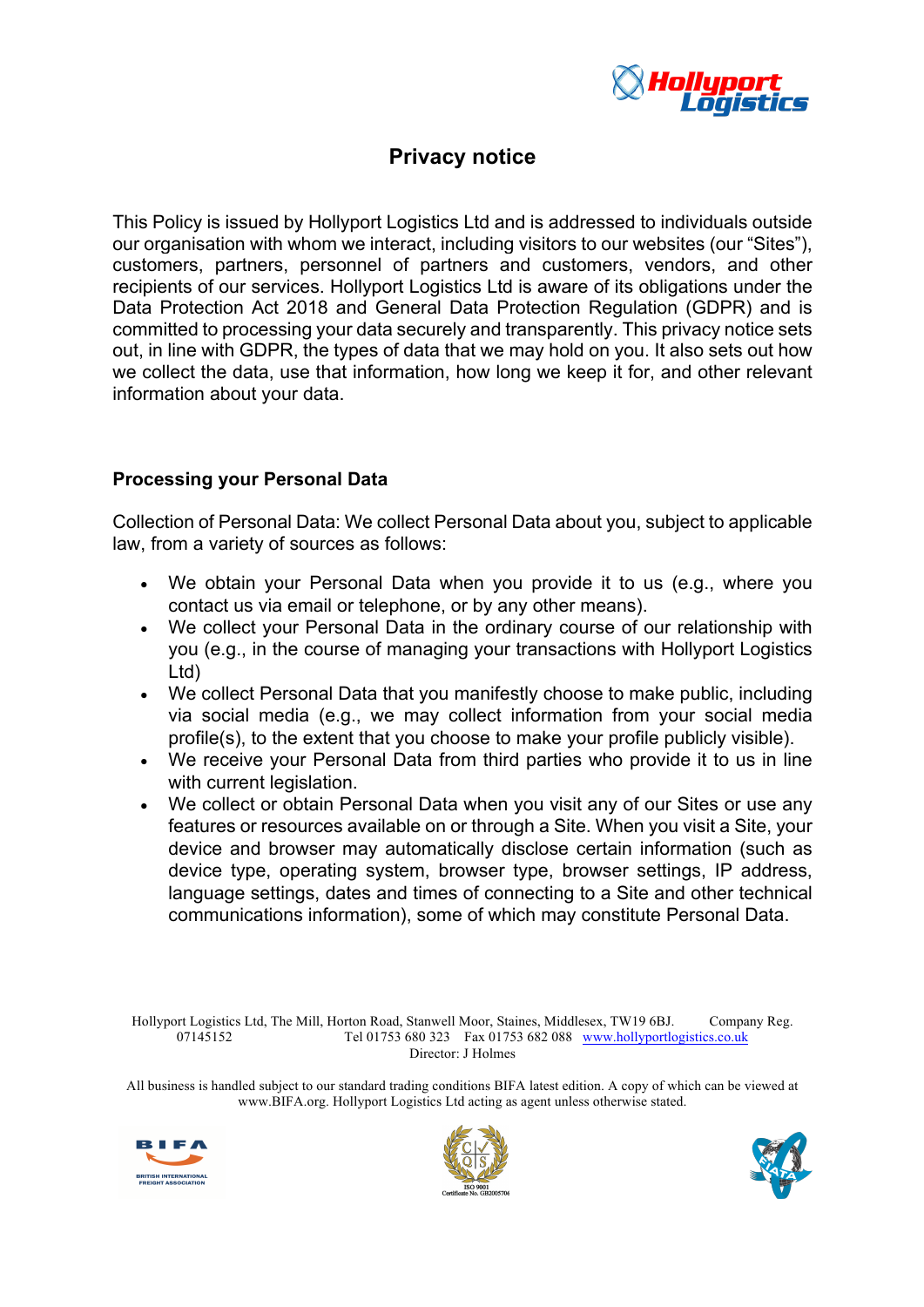

# **Privacy notice**

This Policy is issued by Hollyport Logistics Ltd and is addressed to individuals outside our organisation with whom we interact, including visitors to our websites (our "Sites"), customers, partners, personnel of partners and customers, vendors, and other recipients of our services. Hollyport Logistics Ltd is aware of its obligations under the Data Protection Act 2018 and General Data Protection Regulation (GDPR) and is committed to processing your data securely and transparently. This privacy notice sets out, in line with GDPR, the types of data that we may hold on you. It also sets out how we collect the data, use that information, how long we keep it for, and other relevant information about your data.

# **Processing your Personal Data**

Collection of Personal Data: We collect Personal Data about you, subject to applicable law, from a variety of sources as follows:

- We obtain your Personal Data when you provide it to us (e.g., where you contact us via email or telephone, or by any other means).
- We collect your Personal Data in the ordinary course of our relationship with you (e.g., in the course of managing your transactions with Hollyport Logistics Ltd)
- We collect Personal Data that you manifestly choose to make public, including via social media (e.g., we may collect information from your social media profile(s), to the extent that you choose to make your profile publicly visible).
- We receive your Personal Data from third parties who provide it to us in line with current legislation.
- We collect or obtain Personal Data when you visit any of our Sites or use any features or resources available on or through a Site. When you visit a Site, your device and browser may automatically disclose certain information (such as device type, operating system, browser type, browser settings, IP address, language settings, dates and times of connecting to a Site and other technical communications information), some of which may constitute Personal Data.

Hollyport Logistics Ltd, The Mill, Horton Road, Stanwell Moor, Staines, Middlesex, TW19 6BJ. Company Reg. 07145152 Tel 01753 680 323 Fax 01753 682 088 www.hollyportlogistics.co.uk Director: J Holmes





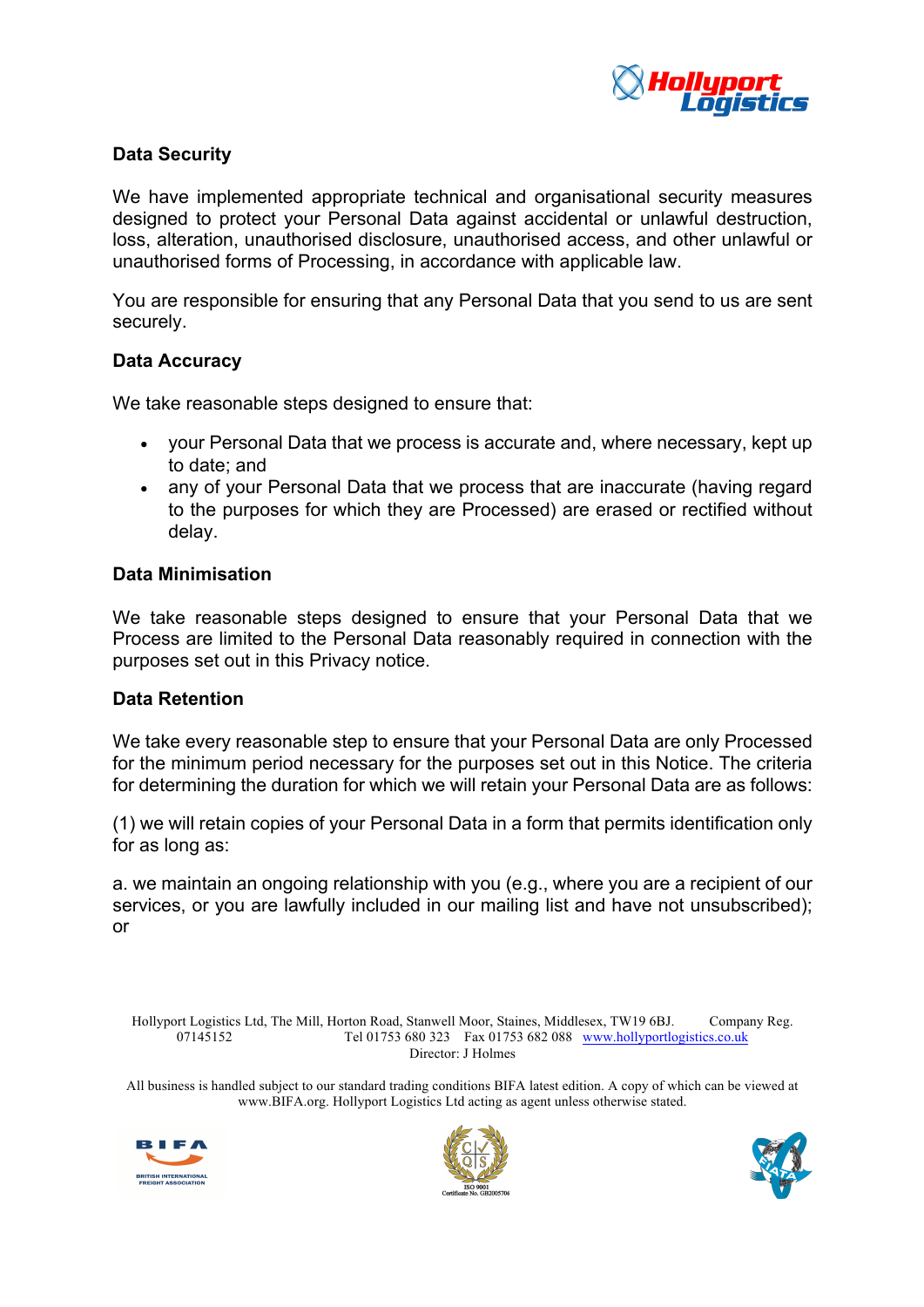

# **Data Security**

We have implemented appropriate technical and organisational security measures designed to protect your Personal Data against accidental or unlawful destruction, loss, alteration, unauthorised disclosure, unauthorised access, and other unlawful or unauthorised forms of Processing, in accordance with applicable law.

You are responsible for ensuring that any Personal Data that you send to us are sent securely.

#### **Data Accuracy**

We take reasonable steps designed to ensure that:

- your Personal Data that we process is accurate and, where necessary, kept up to date; and
- any of your Personal Data that we process that are inaccurate (having regard to the purposes for which they are Processed) are erased or rectified without delay.

#### **Data Minimisation**

We take reasonable steps designed to ensure that your Personal Data that we Process are limited to the Personal Data reasonably required in connection with the purposes set out in this Privacy notice.

## **Data Retention**

We take every reasonable step to ensure that your Personal Data are only Processed for the minimum period necessary for the purposes set out in this Notice. The criteria for determining the duration for which we will retain your Personal Data are as follows:

(1) we will retain copies of your Personal Data in a form that permits identification only for as long as:

a. we maintain an ongoing relationship with you (e.g., where you are a recipient of our services, or you are lawfully included in our mailing list and have not unsubscribed); or

Hollyport Logistics Ltd, The Mill, Horton Road, Stanwell Moor, Staines, Middlesex, TW19 6BJ. Company Reg. 07145152 Tel 01753 680 323 Fax 01753 682 088 www.hollyportlogistics.co.uk Director: J Holmes





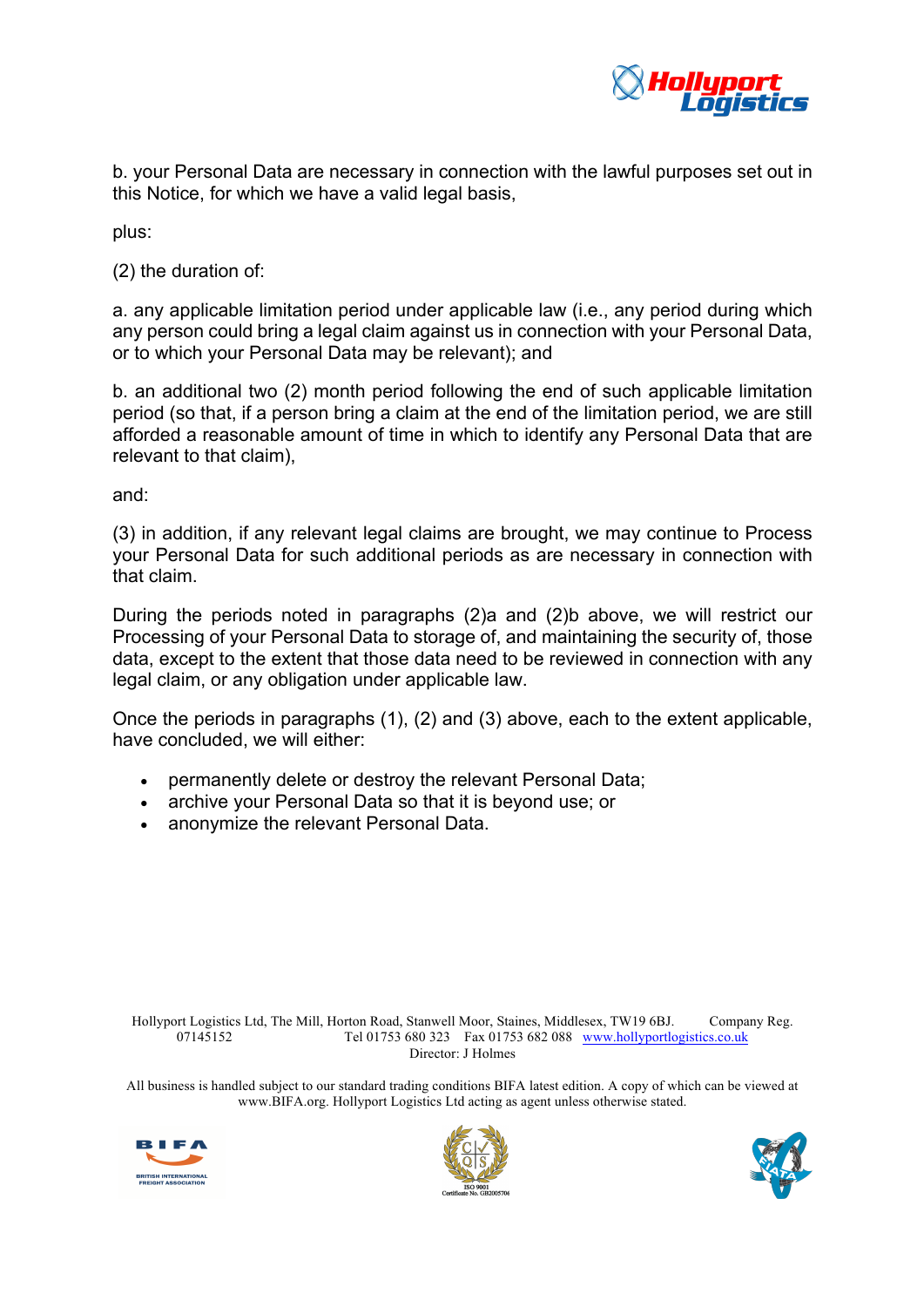

b. your Personal Data are necessary in connection with the lawful purposes set out in this Notice, for which we have a valid legal basis,

plus:

(2) the duration of:

a. any applicable limitation period under applicable law (i.e., any period during which any person could bring a legal claim against us in connection with your Personal Data, or to which your Personal Data may be relevant); and

b. an additional two (2) month period following the end of such applicable limitation period (so that, if a person bring a claim at the end of the limitation period, we are still afforded a reasonable amount of time in which to identify any Personal Data that are relevant to that claim),

and:

(3) in addition, if any relevant legal claims are brought, we may continue to Process your Personal Data for such additional periods as are necessary in connection with that claim.

During the periods noted in paragraphs (2)a and (2)b above, we will restrict our Processing of your Personal Data to storage of, and maintaining the security of, those data, except to the extent that those data need to be reviewed in connection with any legal claim, or any obligation under applicable law.

Once the periods in paragraphs (1), (2) and (3) above, each to the extent applicable, have concluded, we will either:

- permanently delete or destroy the relevant Personal Data;
- archive your Personal Data so that it is beyond use; or
- anonymize the relevant Personal Data.

Hollyport Logistics Ltd, The Mill, Horton Road, Stanwell Moor, Staines, Middlesex, TW19 6BJ. Company Reg. 07145152 Tel 01753 680 323 Fax 01753 682 088 www.hollyportlogistics.co.uk Director: J Holmes





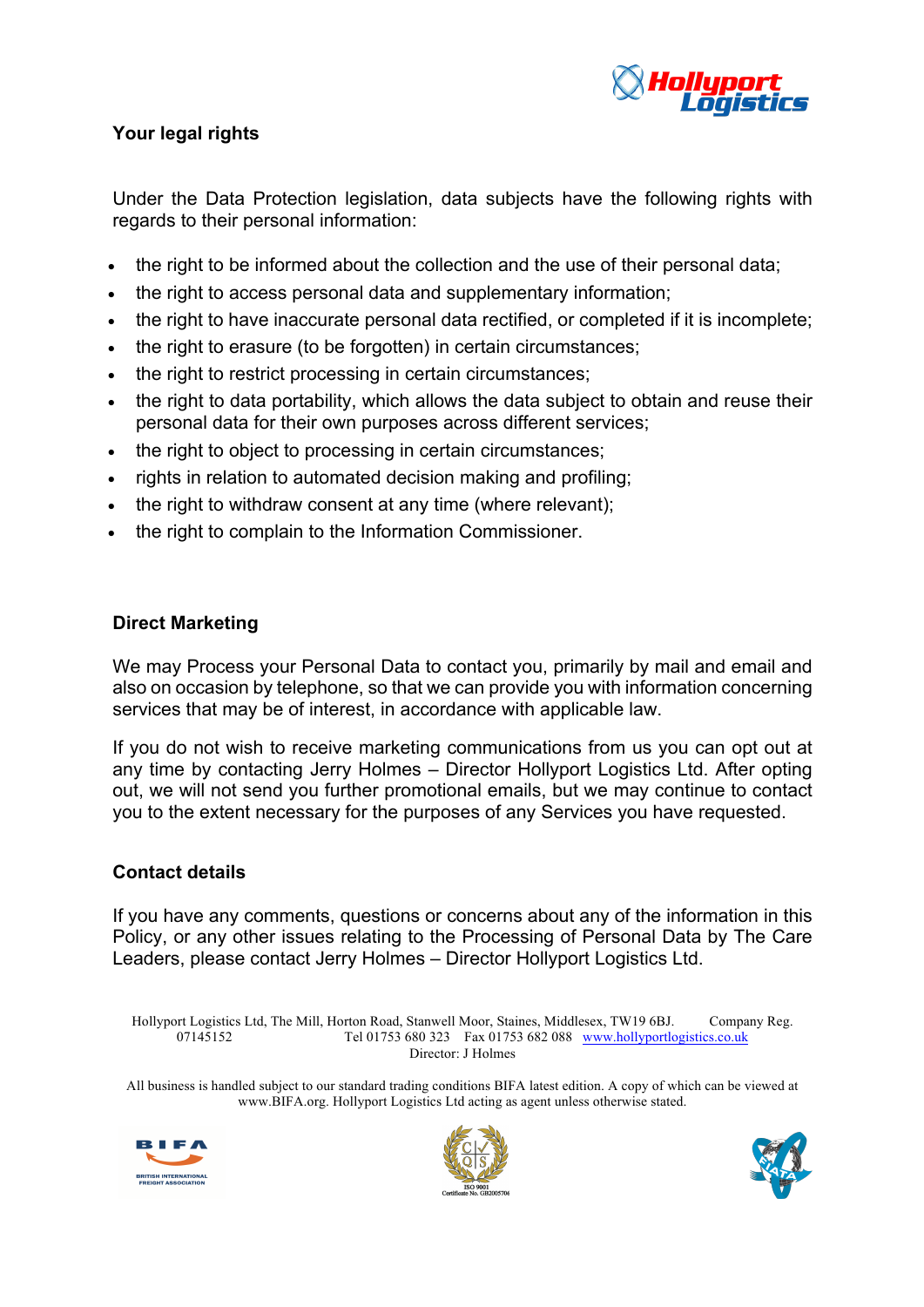

# **Your legal rights**

Under the Data Protection legislation, data subjects have the following rights with regards to their personal information:

- the right to be informed about the collection and the use of their personal data;
- the right to access personal data and supplementary information;
- the right to have inaccurate personal data rectified, or completed if it is incomplete;
- the right to erasure (to be forgotten) in certain circumstances;
- the right to restrict processing in certain circumstances;
- the right to data portability, which allows the data subject to obtain and reuse their personal data for their own purposes across different services;
- the right to object to processing in certain circumstances;
- rights in relation to automated decision making and profiling;
- the right to withdraw consent at any time (where relevant);
- the right to complain to the Information Commissioner.

## **Direct Marketing**

We may Process your Personal Data to contact you, primarily by mail and email and also on occasion by telephone, so that we can provide you with information concerning services that may be of interest, in accordance with applicable law.

If you do not wish to receive marketing communications from us you can opt out at any time by contacting Jerry Holmes – Director Hollyport Logistics Ltd. After opting out, we will not send you further promotional emails, but we may continue to contact you to the extent necessary for the purposes of any Services you have requested.

## **Contact details**

If you have any comments, questions or concerns about any of the information in this Policy, or any other issues relating to the Processing of Personal Data by The Care Leaders, please contact Jerry Holmes – Director Hollyport Logistics Ltd.

Hollyport Logistics Ltd, The Mill, Horton Road, Stanwell Moor, Staines, Middlesex, TW19 6BJ. Company Reg. 07145152 Tel 01753 680 323 Fax 01753 682 088 www.hollyportlogistics.co.uk Director: J Holmes





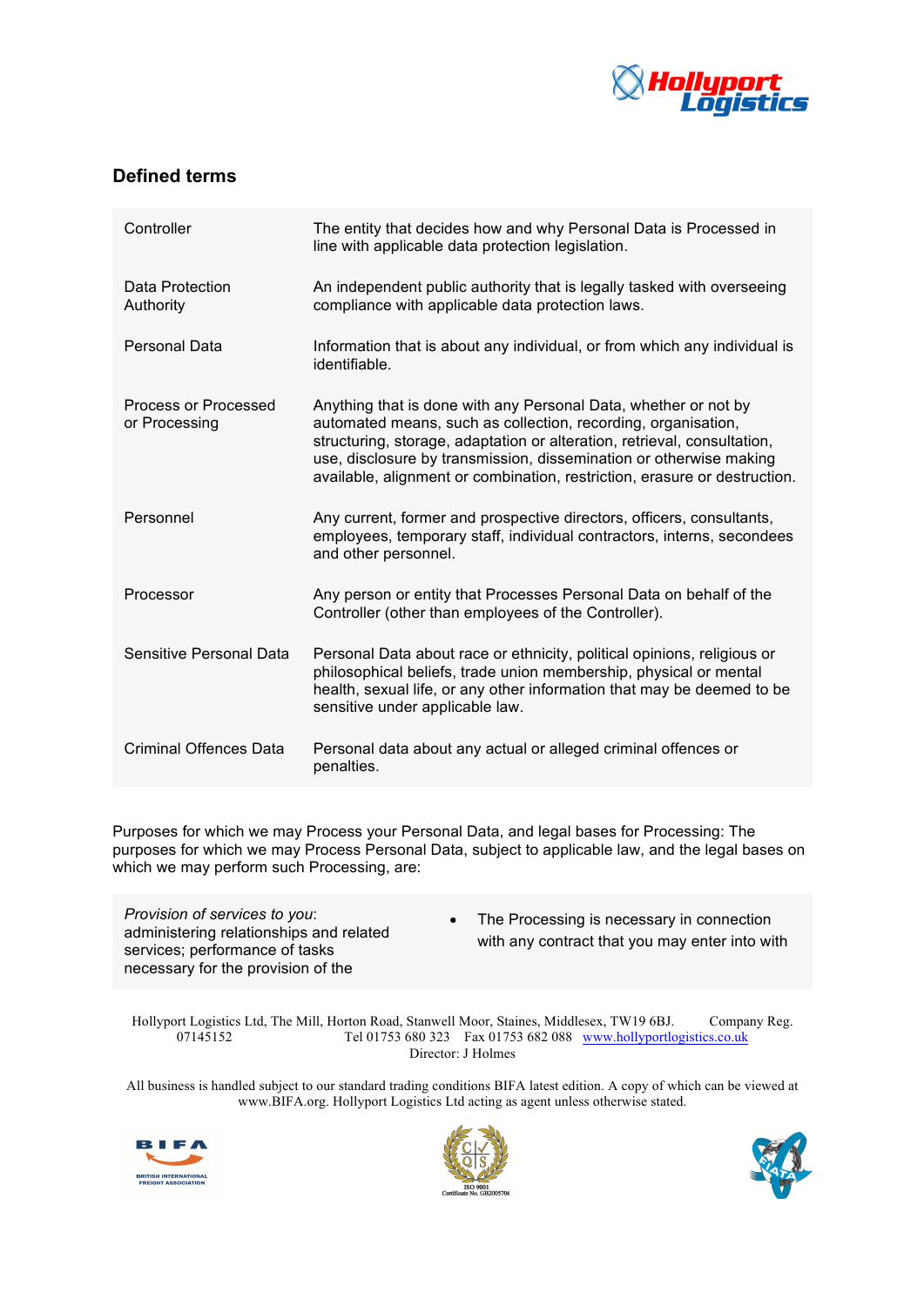

## **Defined terms**

| Controller                            | The entity that decides how and why Personal Data is Processed in<br>line with applicable data protection legislation.                                                                                                                                                                                                                                          |
|---------------------------------------|-----------------------------------------------------------------------------------------------------------------------------------------------------------------------------------------------------------------------------------------------------------------------------------------------------------------------------------------------------------------|
| Data Protection<br>Authority          | An independent public authority that is legally tasked with overseeing<br>compliance with applicable data protection laws.                                                                                                                                                                                                                                      |
| Personal Data                         | Information that is about any individual, or from which any individual is<br>identifiable.                                                                                                                                                                                                                                                                      |
| Process or Processed<br>or Processing | Anything that is done with any Personal Data, whether or not by<br>automated means, such as collection, recording, organisation,<br>structuring, storage, adaptation or alteration, retrieval, consultation,<br>use, disclosure by transmission, dissemination or otherwise making<br>available, alignment or combination, restriction, erasure or destruction. |
| Personnel                             | Any current, former and prospective directors, officers, consultants,<br>employees, temporary staff, individual contractors, interns, secondees<br>and other personnel.                                                                                                                                                                                         |
| Processor                             | Any person or entity that Processes Personal Data on behalf of the<br>Controller (other than employees of the Controller).                                                                                                                                                                                                                                      |
| Sensitive Personal Data               | Personal Data about race or ethnicity, political opinions, religious or<br>philosophical beliefs, trade union membership, physical or mental<br>health, sexual life, or any other information that may be deemed to be<br>sensitive under applicable law.                                                                                                       |
| Criminal Offences Data                | Personal data about any actual or alleged criminal offences or<br>penalties.                                                                                                                                                                                                                                                                                    |

Purposes for which we may Process your Personal Data, and legal bases for Processing: The purposes for which we may Process Personal Data, subject to applicable law, and the legal bases on which we may perform such Processing, are:

*Provision of services to you*: administering relationships and related services; performance of tasks necessary for the provision of the

• The Processing is necessary in connection with any contract that you may enter into with

Hollyport Logistics Ltd, The Mill, Horton Road, Stanwell Moor, Staines, Middlesex, TW19 6BJ. Company Reg. 07145152 Tel 01753 680 323 Fax 01753 682 088 www.hollyportlogistics.co.uk Director: J Holmes





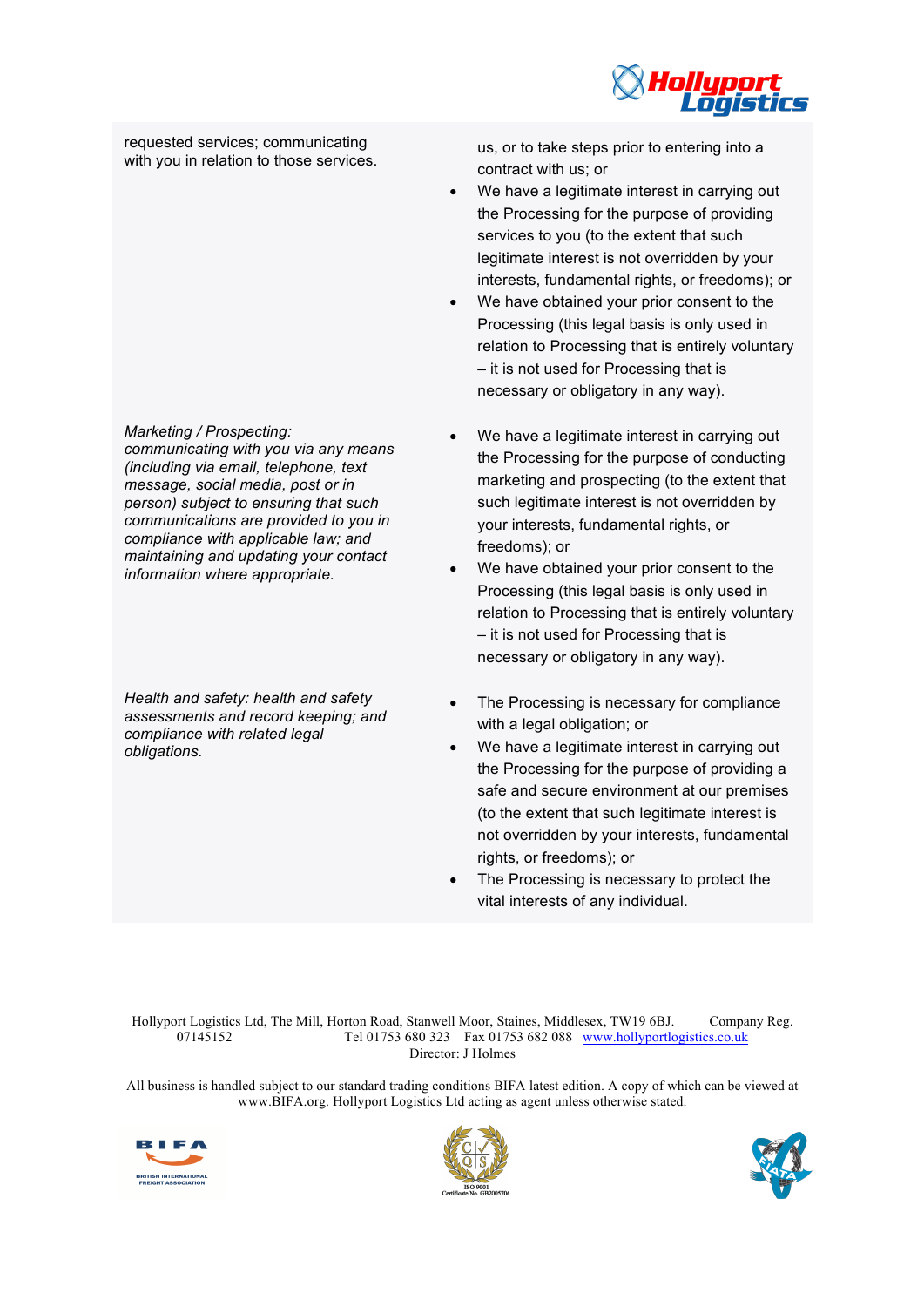

requested services; communicating

*Marketing / Prospecting:* 

*communicating with you via any means (including via email, telephone, text message, social media, post or in person) subject to ensuring that such communications are provided to you in compliance with applicable law; and maintaining and updating your contact information where appropriate.*

*Health and safety: health and safety assessments and record keeping; and compliance with related legal obligations.*

requested services; communicating us, or to take steps prior to entering into a with you in relation to those services. contract with us; or

- We have a legitimate interest in carrying out the Processing for the purpose of providing services to you (to the extent that such legitimate interest is not overridden by your interests, fundamental rights, or freedoms); or
- We have obtained your prior consent to the Processing (this legal basis is only used in relation to Processing that is entirely voluntary – it is not used for Processing that is necessary or obligatory in any way).
- We have a legitimate interest in carrying out the Processing for the purpose of conducting marketing and prospecting (to the extent that such legitimate interest is not overridden by your interests, fundamental rights, or freedoms); or
- We have obtained your prior consent to the Processing (this legal basis is only used in relation to Processing that is entirely voluntary – it is not used for Processing that is necessary or obligatory in any way).
- The Processing is necessary for compliance with a legal obligation; or
- We have a legitimate interest in carrying out the Processing for the purpose of providing a safe and secure environment at our premises (to the extent that such legitimate interest is not overridden by your interests, fundamental rights, or freedoms); or
- The Processing is necessary to protect the vital interests of any individual.

Hollyport Logistics Ltd, The Mill, Horton Road, Stanwell Moor, Staines, Middlesex, TW19 6BJ. Company Reg. 07145152 Tel 01753 680 323 Fax 01753 682 088 www.hollyportlogistics.co.uk Director: J Holmes